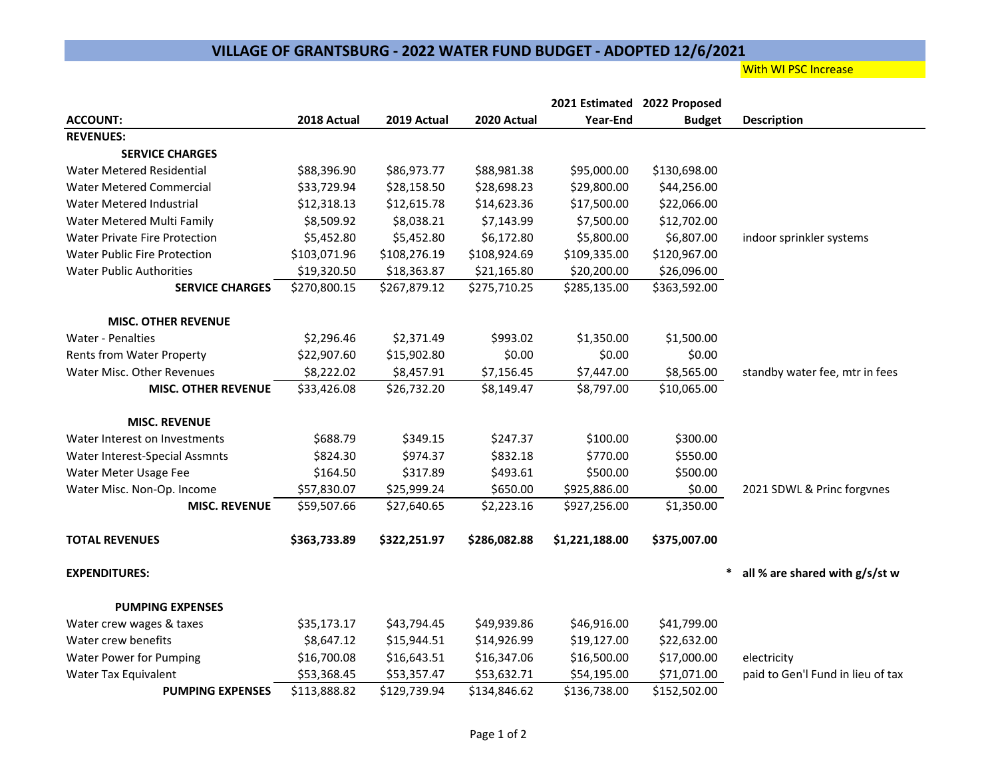## **VILLAGE OF GRANTSBURG - 2022 WATER FUND BUDGET - ADOPTED 12/6/2021**

## **With WI PSC Increase**

|                                      |              |              |              | 2021 Estimated 2022 Proposed |               |                                   |
|--------------------------------------|--------------|--------------|--------------|------------------------------|---------------|-----------------------------------|
| <b>ACCOUNT:</b>                      | 2018 Actual  | 2019 Actual  | 2020 Actual  | Year-End                     | <b>Budget</b> | <b>Description</b>                |
| <b>REVENUES:</b>                     |              |              |              |                              |               |                                   |
| <b>SERVICE CHARGES</b>               |              |              |              |                              |               |                                   |
| <b>Water Metered Residential</b>     | \$88,396.90  | \$86,973.77  | \$88,981.38  | \$95,000.00                  | \$130,698.00  |                                   |
| <b>Water Metered Commercial</b>      | \$33,729.94  | \$28,158.50  | \$28,698.23  | \$29,800.00                  | \$44,256.00   |                                   |
| Water Metered Industrial             | \$12,318.13  | \$12,615.78  | \$14,623.36  | \$17,500.00                  | \$22,066.00   |                                   |
| Water Metered Multi Family           | \$8,509.92   | \$8,038.21   | \$7,143.99   | \$7,500.00                   | \$12,702.00   |                                   |
| <b>Water Private Fire Protection</b> | \$5,452.80   | \$5,452.80   | \$6,172.80   | \$5,800.00                   | \$6,807.00    | indoor sprinkler systems          |
| <b>Water Public Fire Protection</b>  | \$103,071.96 | \$108,276.19 | \$108,924.69 | \$109,335.00                 | \$120,967.00  |                                   |
| <b>Water Public Authorities</b>      | \$19,320.50  | \$18,363.87  | \$21,165.80  | \$20,200.00                  | \$26,096.00   |                                   |
| <b>SERVICE CHARGES</b>               | \$270,800.15 | \$267,879.12 | \$275,710.25 | \$285,135.00                 | \$363,592.00  |                                   |
| <b>MISC. OTHER REVENUE</b>           |              |              |              |                              |               |                                   |
| <b>Water - Penalties</b>             | \$2,296.46   | \$2,371.49   | \$993.02     | \$1,350.00                   | \$1,500.00    |                                   |
| Rents from Water Property            | \$22,907.60  | \$15,902.80  | \$0.00       | \$0.00                       | \$0.00        |                                   |
| Water Misc. Other Revenues           | \$8,222.02   | \$8,457.91   | \$7,156.45   | \$7,447.00                   | \$8,565.00    | standby water fee, mtr in fees    |
| <b>MISC. OTHER REVENUE</b>           | \$33,426.08  | \$26,732.20  | \$8,149.47   | \$8,797.00                   | \$10,065.00   |                                   |
| <b>MISC. REVENUE</b>                 |              |              |              |                              |               |                                   |
| Water Interest on Investments        | \$688.79     | \$349.15     | \$247.37     | \$100.00                     | \$300.00      |                                   |
| Water Interest-Special Assmnts       | \$824.30     | \$974.37     | \$832.18     | \$770.00                     | \$550.00      |                                   |
| Water Meter Usage Fee                | \$164.50     | \$317.89     | \$493.61     | \$500.00                     | \$500.00      |                                   |
| Water Misc. Non-Op. Income           | \$57,830.07  | \$25,999.24  | \$650.00     | \$925,886.00                 | \$0.00        | 2021 SDWL & Princ forgynes        |
| <b>MISC. REVENUE</b>                 | \$59,507.66  | \$27,640.65  | \$2,223.16   | \$927,256.00                 | \$1,350.00    |                                   |
| <b>TOTAL REVENUES</b>                | \$363,733.89 | \$322,251.97 | \$286,082.88 | \$1,221,188.00               | \$375,007.00  |                                   |
| <b>EXPENDITURES:</b>                 |              |              |              |                              | *             | all % are shared with $g/s$ /st w |
| <b>PUMPING EXPENSES</b>              |              |              |              |                              |               |                                   |
| Water crew wages & taxes             | \$35,173.17  | \$43,794.45  | \$49,939.86  | \$46,916.00                  | \$41,799.00   |                                   |
| Water crew benefits                  | \$8,647.12   | \$15,944.51  | \$14,926.99  | \$19,127.00                  | \$22,632.00   |                                   |
| <b>Water Power for Pumping</b>       | \$16,700.08  | \$16,643.51  | \$16,347.06  | \$16,500.00                  | \$17,000.00   | electricity                       |
| Water Tax Equivalent                 | \$53,368.45  | \$53,357.47  | \$53,632.71  | \$54,195.00                  | \$71,071.00   | paid to Gen'l Fund in lieu of tax |
| <b>PUMPING EXPENSES</b>              | \$113,888.82 | \$129,739.94 | \$134,846.62 | \$136,738.00                 | \$152,502.00  |                                   |